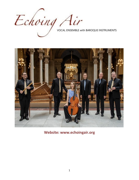



**Website: [www.echoingair.org](http://www.echoingair.org/)**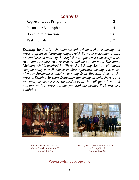# *Contents*

| Representative Programs    | p.3  |
|----------------------------|------|
| Performer Biographies      | p.4  |
| <b>Booking Information</b> | p.6  |
| <b>Testimonials</b>        | p. 7 |

*Echoing Air, Inc. is a chamber ensemble dedicated to exploring and presenting music featuring singers with Baroque instruments, with an emphasis on music of the English Baroque. Most concerts feature two countertenors, two recorders, and basso continuo. The name "Echoing Air" is inspired by "Hark, the Echoing Air," a well-known song by Henry Purcell. The ensemble's repertoire encompasses music of many European countries spanning from Medieval times to the present. Echoing Air tours frequently, appearing on civic, church, and university concert series. Masterclasses at the collegiate level and age-appropriate presentations for students grades K-12 are also available.*





EA Concert: Music's Dwelling Christ Church, Bradenton, FL March 12, 2016

Side-by-Side Concert, Marian University Indianapolis, IN February 19, 2020

# *Representative Programs*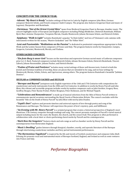### **CONCERTS FOR THE CHURCH YEAR:**

**-Advent:** *"My Heart is Ready"* includes settings of that text in Latin by English composer John Blow, German composer Heinrich Schütz, and French composer André Campra. The program also features Gregorian Chant and music of Legrenzi, Charpentier and Buxtehude.

**-Christmas:** *"Out of the Orient Crystal Skies"* spans from Medieval Gregorian Chant to Baroque chamber music. The concert highlights music of European and English composers including Philipp Böddecker, Dieterich Buxtehude, William Byrd, Marc-Antoine Charpentier, Tarquinio Merula, Claudio Monteverdi, Johann Hermann Schein, and Heinrich Schütz.

**-Epiphany:** *"Walk in Light"* includes Buxtehude's popular "In Dulci Jubilo" and two of Telemann's solo cantatas with instruments written for the season, "Muntre Gedanken" and "Ihr Völker Hört".

**-Lent and Passiontide:** *"Meditations on the Passion"* is dedicated to penitential compositions appropriate to Holy Week and the Lenten Season from composers of France and Italy. The program features works by Charpentier, Campra, Couperin, Carissimi, Monteverdi, Merula, and Viadana.

#### **OTHER SACRED CONCERTS:**

*-"Ein feste Burg is unser Gott"* focuses on the marvelous and expressive German sacred music of Lutheran composers prior to J. S. Bach. Featured composers include Heinrich Schütz, Johann Hermann Schein, Dieterich Buxtehude, Vincent Lübeck, Johann Rosenmüller, Johann Fischer, and Dietrich Becker.

*-"Psalms of Praise and Penitence"* includes many varied settings of these well-known texts. Central to both the Jewish and Christian tradition of worship, these are pieces that are intended to be sung, and we hear settings by Monteverdi, Merula, Schütz, Schein, and Capricornus, among others. The program features Buxtehude's beautiful "Jubilate Domino".

#### **SECULAR or COMBINED SACRED and SECULAR**

*-"Baroque and Beyond"* juxtaposes early English repertoire of the 16th and 17th Centuries with compositions for countertenor and early instruments from the 20th and 21st Centuries. In addition to works by Henry Purcell and John Blow, this vibrant and accessible program includes works by modern composers such as John Gardner, Gregory Rose, Geoffrey Burgon, Peter Racine Fricker, Walter Bergman, Peter Dickinson, and Sir Michael Tippett.

*-"Celebrations and Remembrances*" is made up of musical selections from the Odes of Henry Purcell written to commemorate special occasions surrounding the Royal Courts of Restoration Britain. The concert concludes with the beautiful "Ode on the Death of Henry Purcell" by John Blow with text by John Dryden.

*-"Cupid's Dart"* explores and presents timeless and universal aspects of love through poetry and song of the Renaissance and Baroque. The listener will experience the power of love's mystery, pain, and fulfillment.

*-"An Evening with Mr. Henry Purcell"* is a scripted program that creates a historical perspective of England's most illustrious 17th Century composer through readings and song. The concert presents examples of Purcell's varied musical output including music for the court, the theatre, the church, and the concert hall. This program is often performed in collaboration with a local choir or choirs performing choral works by Purcell and his contemporaries.

*-"Hark How the Songsters"* features duets and solo songs as well as chamber works by Henry Purcell and his contemporaries from Restoration England.

*-"Music's Dwelling"* guides listeners through liturgical, chamber, courtly, and operatic literature of the Baroque through intertwining countertenor melodies and fiery period instrumental performances.

*-"The Harmonious Vagabond"* is inspired by the life and travels of Scottish countertenor and composer John Abell. Echoing Air presents vocal and instrumental music of Baroque Scotland, England, and Ireland as well as some ventures into France and Italy.

# *Performer Biographies*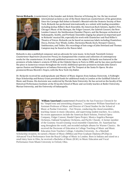**Steven Rickards**, (*countertenor*) is the founder and Artistic Director of Echoing Air, Inc. He has received



international acclaim as one of the finest American countertenors of his generation. Since his Carnegie Hall debut in Handel's *Messiah* with the Oratorio Society of New York, Rickards has performed internationally as a soloist with leading ensembles including Joshua Rifkin's Bach Ensemble, the American Bach Soloists, Apollo's Fire, Chicago's Music of the Baroque, the Folger Consort, the Gabrieli Consort, the New London Consort, the Smithsonian Chamber Players, and the Baroque orchestras of Indianapolis, Seattle, and Portland. Ensemble singing has played an important part in Rickards' musical life, especially his work with Chanticleer and Paul Hillier's Theatre of Voices. Rickards can be heard on numerous labels including Chanticleer, Decca, Dorian, Four Winds, Gothic, Harmonia Mundi, Koch, Newport Classics, Smithsonian, and Teldec. His recordings of lute songs of John Dowland and Thomas Campion may be found on the Naxos label.

Rickards is also a published composer and an advocate for new music. In his book *Twentieth Century Countertenor Repertoire* (Scarecrow Press), he championed the creation and collection of contemporary works for the countertenor. It is the only published resource on the subject. Rickards was featured in the premiere of John Adams's oratorio *El Niño* at the Châtelet Opera in Paris in 2000, and he has since performed the piece in numerous venues throughout the world. Additional operatic premieres include John Eaton's operas *Danton and Robespierre* at Indiana University and *The Tempest* at the Santa Fe Opera. He also premiered Bruno Moretti's *Vespro*, with the New York City Ballet.

Dr. Rickards received his undergraduate and Master of Music degrees from Indiana University. A Fulbright-Hays Scholarship and Rotary Grant provided funds for additional study in London at the Guildhall School of Music and Drama. His doctorate was conferred by Florida State University. He has served on the faculty of the Historical Performance Institute at the IU Jacobs School of Music and currently teaches at Butler University, Marian University, and the University of Indianapolis.



**William Sauerland** (*countertenor*) Praised by the San Francisco Chronicle for his "limpid tone and astonishing eloquence," countertenor William Sauerland is an Assistant Professor of Music and Director of Choral Studies for the School of Music at Purdue University – Fort Wayne, conducting the choral ensembles, teaching classes in music education, and supervising student teachers. As a soloist, his recent appearances include the American Bach Soloists, Festival Opera Company, Folger Consort, Handel Opera Project, Musica Angelica Baroque Orchestra, Oakland Symphony Orchestra, and Pacific Chorale. A former member of the Grammy Award-winning vocal ensemble Chanticleer, Dr. Sauerland has sung throughout the world, and recorded multiple albums for Warner Classics. He received the Doctorate of Education in College Teaching of Music and Music Education from Teachers College, Columbia University. As a Marshall

Scholarship recipient, he earned a Master of Music (MMus) and Post-Graduate Diploma (PGDip) in Advanced Vocal Performance from the Royal College of Music in London. Born in Indiana and raised on a small dairy farm in Ohio, he received a Bachelor of Music (B.M.) in Music Education and Vocal Performance from Miami University in Oxford, Ohio.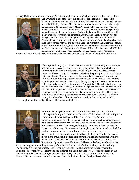**Jeffrey Collier** (*recorder and Baroque flute*) is a founding member of Echoing Air and enjoys transcribing



and arranging music of the Baroque period for the ensemble. He earned his Bachelor of Arts degree in music from Emory University in Atlanta, Georgia, where he studied singing with Mac Morgan and performed on recorder and other early instruments with the Emory Early Music Consort. Following his completion of medical school, he has remained an avid musical performer specializing in Early Music. He studied Baroque flute with Barbara Kallaur, and he has participated in many intensive workshops and masterclasses with such artists as Christopher Krueger, Michael Lynn, Max van Egmond, Eva Legene, Janet See, and Stephen Preston. He currently calls Indianapolis home, and has performed on both Baroque flute and recorder with the Indianapolis Baroque Orchestra and Ensemble Voltaire as well as ensembles throughout the Southeast and Midwest. Reviews have praised his "pure and focused" playing (Classical Voice of North Carolina, March 2005). Dr. Collier his also a physician with a private solo practice in Family Medicine in

Carmel, IN and is Clinical Assistant Professor for the Marian University College of Osteopathic Medicine.



**Christopher Armijo** *(recorder)* is an instrumentalist specializing in the Baroque and Renaissance recorder. He is a performing member of Forgotten Clefs, Inc. (Bloomington, Indiana's Renaissance wind band) for which he also serves as corresponding secretary. Christopher can be heard regularly as a soloist at Trinity Episcopal Church, Bloomington, as well as several other venues in Monroe and Brown Counties. He has performed in early music workshops across the country including the San Francisco Early Music Society Baroque Workshop, the Mountain Collegium Early Music Workshop, and the Amherst Early Music Festival, where he has worked with Bruce Dickey, and members of ¡Sacabuche!, the Flanders Recorder Quartet, and Tempesta di Mare. A diverse musician, Christopher has also recently begun performing on the cornetto and shawm in period ensembles. He is also a member of the Bloomington Symphony Orchestra's horn section. His academic history includes a BA in Music from Columbus State University and an MM in

Recorder, Indiana University – Historical Performance Institute.



**Thomas Gerber** (*harpsichord and organ*) is a founding member of the Indianapolis Baroque Orchestra and Ensemble Voltaire as well as Echoing Air. A graduate of Hillsdale College and Ball State University, Gerber received a Master of Music degree in harpsichord and early music performance practice from Indiana University. Mr. Gerber served as assistant professor of music and humanities at Marian University, Indianapolis, and has held positions at the University of Indianapolis, where he has taught music history and coached the student Baroque ensemble, and Butler University, where he teaches harpsichord. His continuo keyboard skills are highly sought after by period instrument groups and modern orchestras alike. He has performed with the Ann Arbor-based 17th-century-music chamber quintet Anaphantasia, the liturgical early music ensemble Musik Ekklesia, and other period-instrument

early-music groups including Alchymy, Catacoustic Consort, the Callipygian Players, Pills to Purge Melancholy, Ars Antigua Chicago, and Haydn-by-the-Lake. He also performs regularly with the Indianapolis Symphony Orchestra and the Indianapolis Chamber Orchestra. He has appeared at the Early Music Festival of St. Louis, the Bloomington Early Music Festival, and the Tropical Baroque Festival. He can be heard on the Dorian, Concordia, Indie Barock, and Catalpa Classics labels.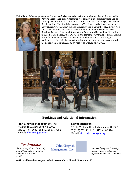**Erica Rubis** (*viola da gamba and Baroque cello*) is a versatile performer on both viols and Baroque cello.



Performances range from renaissance viol consort music to improvising and cocreating new music. Erica holds a B.A. in Music from St. Olaf College, a Performer's Certificate from The Royal Conservatory in The Hague, Netherlands, and an MM in Early Music Performance at Indiana University. She is a member of Alchymy Viols and Les Ordinaires Trio. She also plays with Indianapolis Baroque Orchestra, Bourbon Baroque, Catacoustic Consort, and Generation Harmonique. Recordings include Les Ordinaires, *Inner Chambers* and contemporary music of Tomas Lozano, *Eternal Juan Ramón Jiménez*. Active in music education, Erica holds regular workshops on the viola da gamba for string students and has pioneered a multimedia program, *Shakespeare's Ear*, with regular tours since 2009.



## **Bookings and Additional Information**

#### **John Gingrich Management, Inc. Steven Rickards:**

P.O. Box 1515, New York, NY 10023 T: (212) 799-5080 Fax: (212) 874-7652 E-mail: [john@gingarts.com](mailto:john@gingarts.com)

123 E. Westfield Blvd, Indianapolis, IN 46220 T: (317) 252-4311 C: (317) 414-8374 E-mail: [steven@echoingair.org](mailto:steven@echoingair.org)

# *Testimonials*

*night. The multiple standing Management*, *nic. ovations were the clearest was!"*

*POSTIMONICIS*<br> *"Many, many thanks for a truly Management, Inc. wonderful program Saturday a truly Management, Inc. wonderful program Saturday* 

*demonstration of how appreciative the entire audience* 

**—Richard Benedum, Organist-Choirmaster, Christ Church, Bradenton, FL**